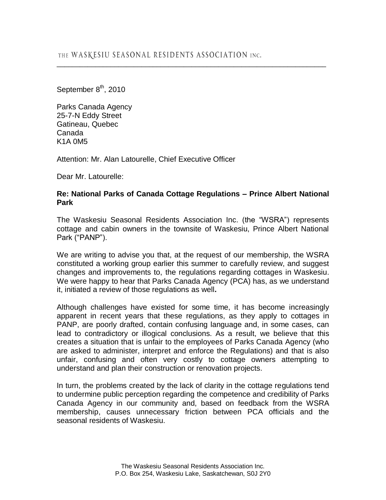September 8<sup>th</sup>, 2010

Parks Canada Agency 25-7-N Eddy Street Gatineau, Quebec Canada K1A 0M5

Attention: Mr. Alan Latourelle, Chief Executive Officer

Dear Mr. Latourelle:

## **Re: National Parks of Canada Cottage Regulations – Prince Albert National Park**

\_\_\_\_\_\_\_\_\_\_\_\_\_\_\_\_\_\_\_\_\_\_\_\_\_\_\_\_\_\_\_\_\_\_\_\_\_\_\_\_\_\_\_\_\_\_\_\_\_\_\_\_\_\_\_\_\_\_\_\_\_\_\_\_\_\_\_\_\_\_

The Waskesiu Seasonal Residents Association Inc. (the "WSRA") represents cottage and cabin owners in the townsite of Waskesiu, Prince Albert National Park ("PANP").

We are writing to advise you that, at the request of our membership, the WSRA constituted a working group earlier this summer to carefully review, and suggest changes and improvements to, the regulations regarding cottages in Waskesiu. We were happy to hear that Parks Canada Agency (PCA) has, as we understand it, initiated a review of those regulations as well**.**

Although challenges have existed for some time, it has become increasingly apparent in recent years that these regulations, as they apply to cottages in PANP, are poorly drafted, contain confusing language and, in some cases, can lead to contradictory or illogical conclusions. As a result, we believe that this creates a situation that is unfair to the employees of Parks Canada Agency (who are asked to administer, interpret and enforce the Regulations) and that is also unfair, confusing and often very costly to cottage owners attempting to understand and plan their construction or renovation projects.

In turn, the problems created by the lack of clarity in the cottage regulations tend to undermine public perception regarding the competence and credibility of Parks Canada Agency in our community and, based on feedback from the WSRA membership, causes unnecessary friction between PCA officials and the seasonal residents of Waskesiu.